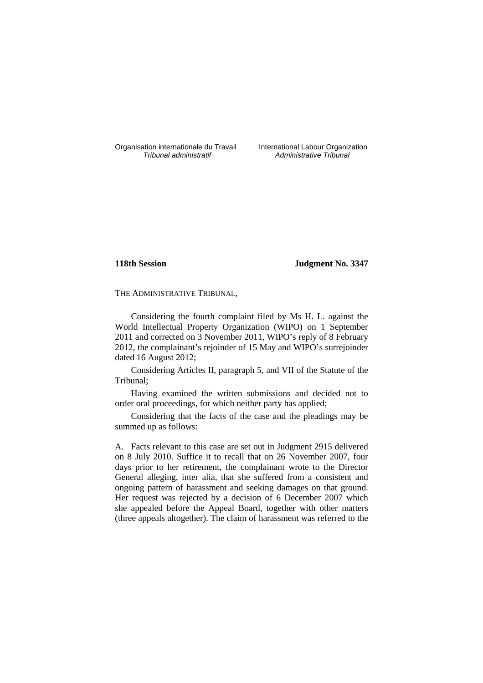Organisation internationale du Travail International Labour Organization<br> *Tribunal administratif Administrative Tribunal* 

Administrative Tribunal

# **118th Session Judgment No. 3347**

THE ADMINISTRATIVE TRIBUNAL,

Considering the fourth complaint filed by Ms H. L. against the World Intellectual Property Organization (WIPO) on 1 September 2011 and corrected on 3 November 2011, WIPO's reply of 8 February 2012, the complainant's rejoinder of 15 May and WIPO's surrejoinder dated 16 August 2012;

Considering Articles II, paragraph 5, and VII of the Statute of the Tribunal;

Having examined the written submissions and decided not to order oral proceedings, for which neither party has applied;

Considering that the facts of the case and the pleadings may be summed up as follows:

A. Facts relevant to this case are set out in Judgment 2915 delivered on 8 July 2010. Suffice it to recall that on 26 November 2007, four days prior to her retirement, the complainant wrote to the Director General alleging, inter alia, that she suffered from a consistent and ongoing pattern of harassment and seeking damages on that ground. Her request was rejected by a decision of 6 December 2007 which she appealed before the Appeal Board, together with other matters (three appeals altogether). The claim of harassment was referred to the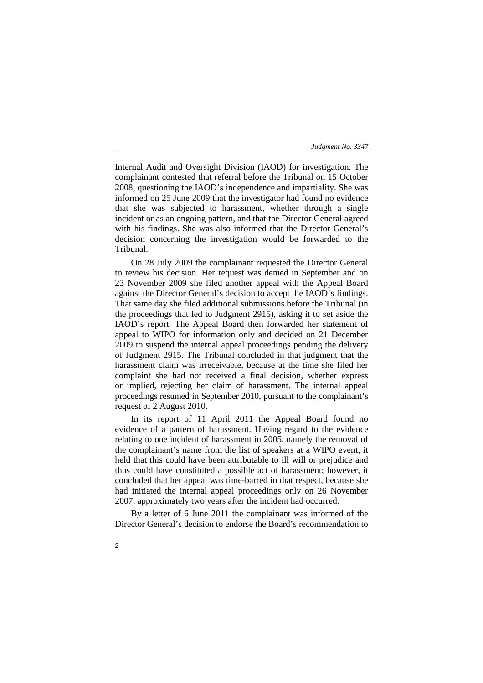Internal Audit and Oversight Division (IAOD) for investigation. The complainant contested that referral before the Tribunal on 15 October 2008, questioning the IAOD's independence and impartiality. She was informed on 25 June 2009 that the investigator had found no evidence that she was subjected to harassment, whether through a single incident or as an ongoing pattern, and that the Director General agreed with his findings. She was also informed that the Director General's decision concerning the investigation would be forwarded to the Tribunal.

On 28 July 2009 the complainant requested the Director General to review his decision. Her request was denied in September and on 23 November 2009 she filed another appeal with the Appeal Board against the Director General's decision to accept the IAOD's findings. That same day she filed additional submissions before the Tribunal (in the proceedings that led to Judgment 2915), asking it to set aside the IAOD's report. The Appeal Board then forwarded her statement of appeal to WIPO for information only and decided on 21 December 2009 to suspend the internal appeal proceedings pending the delivery of Judgment 2915. The Tribunal concluded in that judgment that the harassment claim was irreceivable, because at the time she filed her complaint she had not received a final decision, whether express or implied, rejecting her claim of harassment. The internal appeal proceedings resumed in September 2010, pursuant to the complainant's request of 2 August 2010.

In its report of 11 April 2011 the Appeal Board found no evidence of a pattern of harassment. Having regard to the evidence relating to one incident of harassment in 2005, namely the removal of the complainant's name from the list of speakers at a WIPO event, it held that this could have been attributable to ill will or prejudice and thus could have constituted a possible act of harassment; however, it concluded that her appeal was time-barred in that respect, because she had initiated the internal appeal proceedings only on 26 November 2007, approximately two years after the incident had occurred.

By a letter of 6 June 2011 the complainant was informed of the Director General's decision to endorse the Board's recommendation to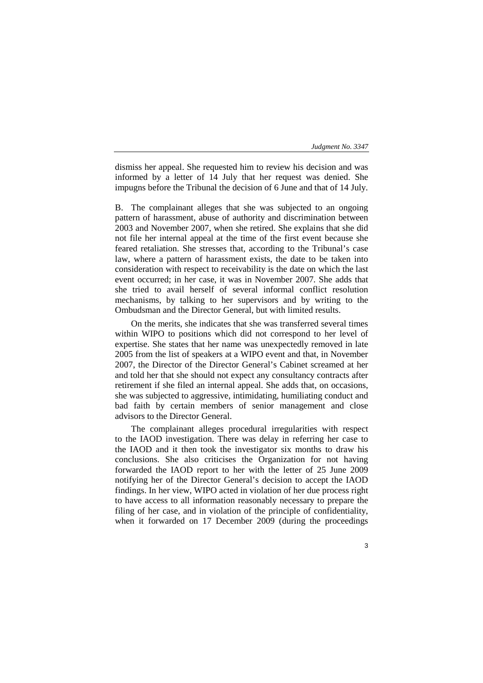dismiss her appeal. She requested him to review his decision and was informed by a letter of 14 July that her request was denied. She impugns before the Tribunal the decision of 6 June and that of 14 July.

B. The complainant alleges that she was subjected to an ongoing pattern of harassment, abuse of authority and discrimination between 2003 and November 2007, when she retired. She explains that she did not file her internal appeal at the time of the first event because she feared retaliation. She stresses that, according to the Tribunal's case law, where a pattern of harassment exists, the date to be taken into consideration with respect to receivability is the date on which the last event occurred; in her case, it was in November 2007. She adds that she tried to avail herself of several informal conflict resolution mechanisms, by talking to her supervisors and by writing to the Ombudsman and the Director General, but with limited results.

On the merits, she indicates that she was transferred several times within WIPO to positions which did not correspond to her level of expertise. She states that her name was unexpectedly removed in late 2005 from the list of speakers at a WIPO event and that, in November 2007, the Director of the Director General's Cabinet screamed at her and told her that she should not expect any consultancy contracts after retirement if she filed an internal appeal. She adds that, on occasions, she was subjected to aggressive, intimidating, humiliating conduct and bad faith by certain members of senior management and close advisors to the Director General.

The complainant alleges procedural irregularities with respect to the IAOD investigation. There was delay in referring her case to the IAOD and it then took the investigator six months to draw his conclusions. She also criticises the Organization for not having forwarded the IAOD report to her with the letter of 25 June 2009 notifying her of the Director General's decision to accept the IAOD findings. In her view, WIPO acted in violation of her due process right to have access to all information reasonably necessary to prepare the filing of her case, and in violation of the principle of confidentiality, when it forwarded on 17 December 2009 (during the proceedings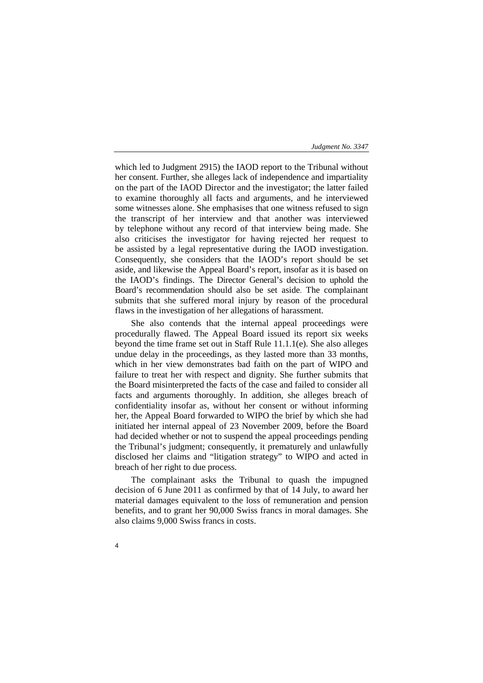which led to Judgment 2915) the IAOD report to the Tribunal without her consent. Further, she alleges lack of independence and impartiality on the part of the IAOD Director and the investigator; the latter failed to examine thoroughly all facts and arguments, and he interviewed some witnesses alone. She emphasises that one witness refused to sign the transcript of her interview and that another was interviewed by telephone without any record of that interview being made. She also criticises the investigator for having rejected her request to be assisted by a legal representative during the IAOD investigation. Consequently, she considers that the IAOD's report should be set aside, and likewise the Appeal Board's report, insofar as it is based on the IAOD's findings. The Director General's decision to uphold the Board's recommendation should also be set aside. The complainant submits that she suffered moral injury by reason of the procedural flaws in the investigation of her allegations of harassment.

She also contends that the internal appeal proceedings were procedurally flawed. The Appeal Board issued its report six weeks beyond the time frame set out in Staff Rule 11.1.1(e). She also alleges undue delay in the proceedings, as they lasted more than 33 months, which in her view demonstrates bad faith on the part of WIPO and failure to treat her with respect and dignity. She further submits that the Board misinterpreted the facts of the case and failed to consider all facts and arguments thoroughly. In addition, she alleges breach of confidentiality insofar as, without her consent or without informing her, the Appeal Board forwarded to WIPO the brief by which she had initiated her internal appeal of 23 November 2009, before the Board had decided whether or not to suspend the appeal proceedings pending the Tribunal's judgment; consequently, it prematurely and unlawfully disclosed her claims and "litigation strategy" to WIPO and acted in breach of her right to due process.

The complainant asks the Tribunal to quash the impugned decision of 6 June 2011 as confirmed by that of 14 July, to award her material damages equivalent to the loss of remuneration and pension benefits, and to grant her 90,000 Swiss francs in moral damages. She also claims 9,000 Swiss francs in costs.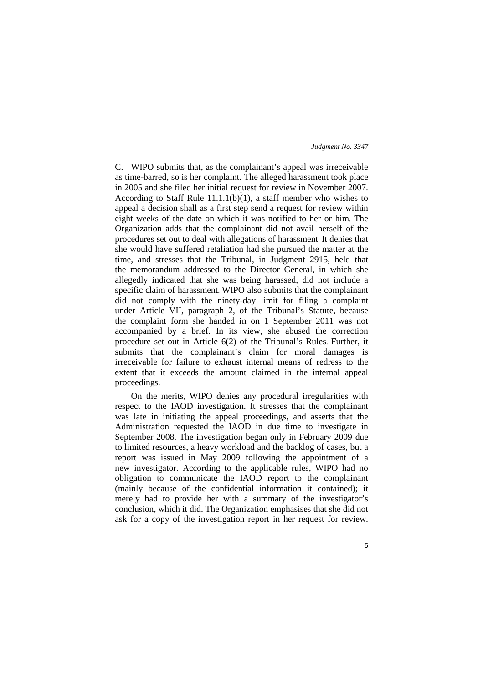C. WIPO submits that, as the complainant's appeal was irreceivable as time-barred, so is her complaint. The alleged harassment took place in 2005 and she filed her initial request for review in November 2007. According to Staff Rule  $11.1.1(b)(1)$ , a staff member who wishes to appeal a decision shall as a first step send a request for review within eight weeks of the date on which it was notified to her or him. The Organization adds that the complainant did not avail herself of the procedures set out to deal with allegations of harassment. It denies that she would have suffered retaliation had she pursued the matter at the time, and stresses that the Tribunal, in Judgment 2915, held that the memorandum addressed to the Director General, in which she allegedly indicated that she was being harassed, did not include a specific claim of harassment. WIPO also submits that the complainant did not comply with the ninety-day limit for filing a complaint under Article VII, paragraph 2, of the Tribunal's Statute, because the complaint form she handed in on 1 September 2011 was not accompanied by a brief. In its view, she abused the correction procedure set out in Article 6(2) of the Tribunal's Rules. Further, it submits that the complainant's claim for moral damages is irreceivable for failure to exhaust internal means of redress to the extent that it exceeds the amount claimed in the internal appeal proceedings.

On the merits, WIPO denies any procedural irregularities with respect to the IAOD investigation. It stresses that the complainant was late in initiating the appeal proceedings, and asserts that the Administration requested the IAOD in due time to investigate in September 2008. The investigation began only in February 2009 due to limited resources, a heavy workload and the backlog of cases, but a report was issued in May 2009 following the appointment of a new investigator. According to the applicable rules, WIPO had no obligation to communicate the IAOD report to the complainant (mainly because of the confidential information it contained); it merely had to provide her with a summary of the investigator's conclusion, which it did. The Organization emphasises that she did not ask for a copy of the investigation report in her request for review.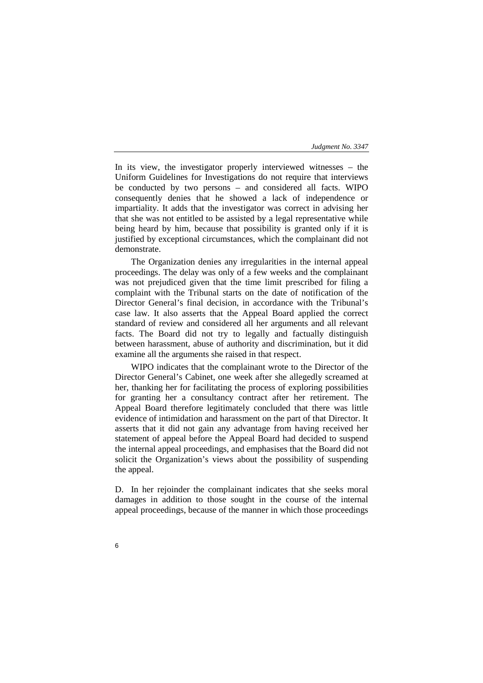In its view, the investigator properly interviewed witnesses – the Uniform Guidelines for Investigations do not require that interviews be conducted by two persons – and considered all facts. WIPO consequently denies that he showed a lack of independence or impartiality. It adds that the investigator was correct in advising her that she was not entitled to be assisted by a legal representative while being heard by him, because that possibility is granted only if it is justified by exceptional circumstances, which the complainant did not demonstrate.

The Organization denies any irregularities in the internal appeal proceedings. The delay was only of a few weeks and the complainant was not prejudiced given that the time limit prescribed for filing a complaint with the Tribunal starts on the date of notification of the Director General's final decision, in accordance with the Tribunal's case law. It also asserts that the Appeal Board applied the correct standard of review and considered all her arguments and all relevant facts. The Board did not try to legally and factually distinguish between harassment, abuse of authority and discrimination, but it did examine all the arguments she raised in that respect.

WIPO indicates that the complainant wrote to the Director of the Director General's Cabinet, one week after she allegedly screamed at her, thanking her for facilitating the process of exploring possibilities for granting her a consultancy contract after her retirement. The Appeal Board therefore legitimately concluded that there was little evidence of intimidation and harassment on the part of that Director. It asserts that it did not gain any advantage from having received her statement of appeal before the Appeal Board had decided to suspend the internal appeal proceedings, and emphasises that the Board did not solicit the Organization's views about the possibility of suspending the appeal.

D. In her rejoinder the complainant indicates that she seeks moral damages in addition to those sought in the course of the internal appeal proceedings, because of the manner in which those proceedings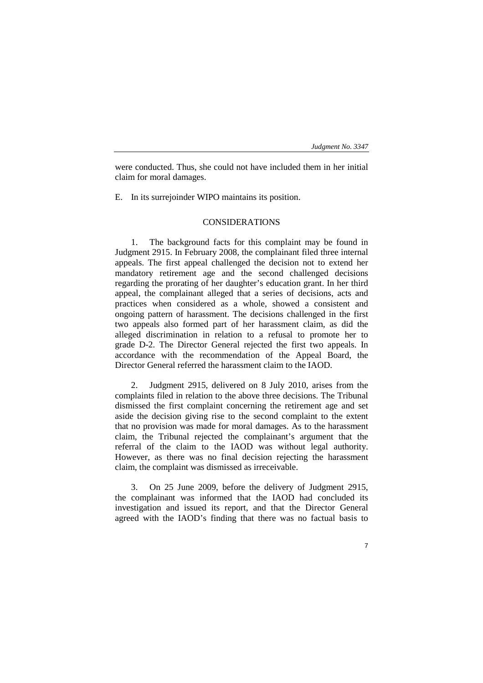were conducted. Thus, she could not have included them in her initial claim for moral damages.

E. In its surrejoinder WIPO maintains its position.

# CONSIDERATIONS

1. The background facts for this complaint may be found in Judgment 2915. In February 2008, the complainant filed three internal appeals. The first appeal challenged the decision not to extend her mandatory retirement age and the second challenged decisions regarding the prorating of her daughter's education grant. In her third appeal, the complainant alleged that a series of decisions, acts and practices when considered as a whole, showed a consistent and ongoing pattern of harassment. The decisions challenged in the first two appeals also formed part of her harassment claim, as did the alleged discrimination in relation to a refusal to promote her to grade D-2. The Director General rejected the first two appeals. In accordance with the recommendation of the Appeal Board, the Director General referred the harassment claim to the IAOD.

2. Judgment 2915, delivered on 8 July 2010, arises from the complaints filed in relation to the above three decisions. The Tribunal dismissed the first complaint concerning the retirement age and set aside the decision giving rise to the second complaint to the extent that no provision was made for moral damages. As to the harassment claim, the Tribunal rejected the complainant's argument that the referral of the claim to the IAOD was without legal authority. However, as there was no final decision rejecting the harassment claim, the complaint was dismissed as irreceivable.

3. On 25 June 2009, before the delivery of Judgment 2915, the complainant was informed that the IAOD had concluded its investigation and issued its report, and that the Director General agreed with the IAOD's finding that there was no factual basis to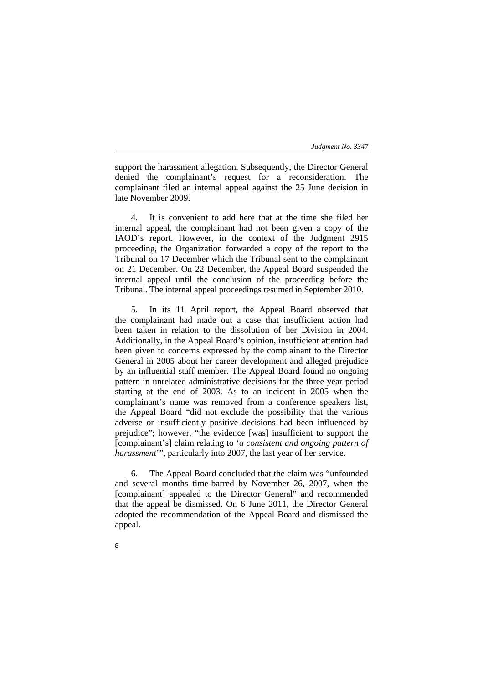support the harassment allegation. Subsequently, the Director General denied the complainant's request for a reconsideration. The complainant filed an internal appeal against the 25 June decision in late November 2009.

4. It is convenient to add here that at the time she filed her internal appeal, the complainant had not been given a copy of the IAOD's report. However, in the context of the Judgment 2915 proceeding, the Organization forwarded a copy of the report to the Tribunal on 17 December which the Tribunal sent to the complainant on 21 December. On 22 December, the Appeal Board suspended the internal appeal until the conclusion of the proceeding before the Tribunal. The internal appeal proceedings resumed in September 2010.

5. In its 11 April report, the Appeal Board observed that the complainant had made out a case that insufficient action had been taken in relation to the dissolution of her Division in 2004. Additionally, in the Appeal Board's opinion, insufficient attention had been given to concerns expressed by the complainant to the Director General in 2005 about her career development and alleged prejudice by an influential staff member. The Appeal Board found no ongoing pattern in unrelated administrative decisions for the three-year period starting at the end of 2003. As to an incident in 2005 when the complainant's name was removed from a conference speakers list, the Appeal Board "did not exclude the possibility that the various adverse or insufficiently positive decisions had been influenced by prejudice"; however, "the evidence [was] insufficient to support the [complainant's] claim relating to '*a consistent and ongoing pattern of harassment*'", particularly into 2007, the last year of her service.

6. The Appeal Board concluded that the claim was "unfounded and several months time-barred by November 26, 2007, when the [complainant] appealed to the Director General" and recommended that the appeal be dismissed. On 6 June 2011, the Director General adopted the recommendation of the Appeal Board and dismissed the appeal.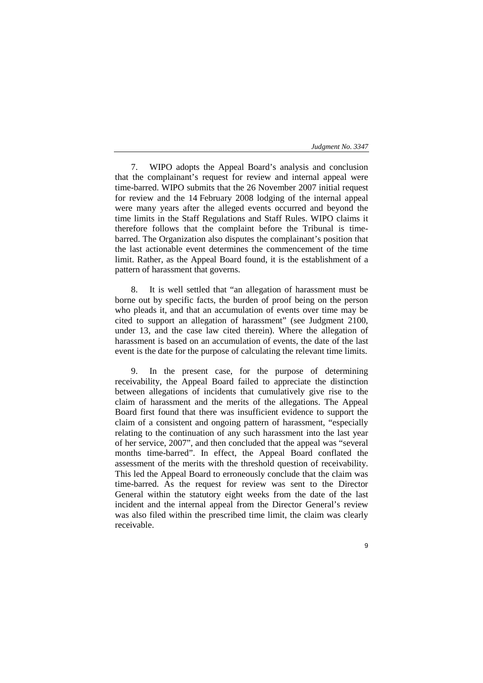7. WIPO adopts the Appeal Board's analysis and conclusion that the complainant's request for review and internal appeal were time-barred. WIPO submits that the 26 November 2007 initial request for review and the 14 February 2008 lodging of the internal appeal were many years after the alleged events occurred and beyond the time limits in the Staff Regulations and Staff Rules. WIPO claims it therefore follows that the complaint before the Tribunal is timebarred. The Organization also disputes the complainant's position that the last actionable event determines the commencement of the time limit. Rather, as the Appeal Board found, it is the establishment of a pattern of harassment that governs.

8. It is well settled that "an allegation of harassment must be borne out by specific facts, the burden of proof being on the person who pleads it, and that an accumulation of events over time may be cited to support an allegation of harassment" (see Judgment 2100, under 13, and the case law cited therein). Where the allegation of harassment is based on an accumulation of events, the date of the last event is the date for the purpose of calculating the relevant time limits.

9. In the present case, for the purpose of determining receivability, the Appeal Board failed to appreciate the distinction between allegations of incidents that cumulatively give rise to the claim of harassment and the merits of the allegations. The Appeal Board first found that there was insufficient evidence to support the claim of a consistent and ongoing pattern of harassment, "especially relating to the continuation of any such harassment into the last year of her service, 2007", and then concluded that the appeal was "several months time-barred". In effect, the Appeal Board conflated the assessment of the merits with the threshold question of receivability. This led the Appeal Board to erroneously conclude that the claim was time-barred. As the request for review was sent to the Director General within the statutory eight weeks from the date of the last incident and the internal appeal from the Director General's review was also filed within the prescribed time limit, the claim was clearly receivable.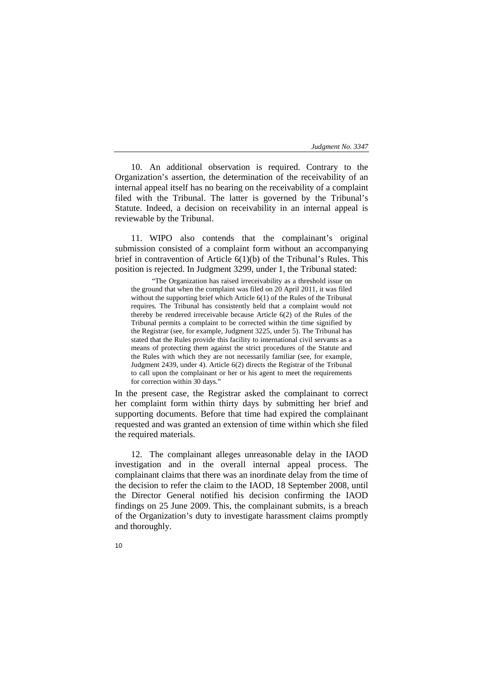10. An additional observation is required. Contrary to the Organization's assertion, the determination of the receivability of an internal appeal itself has no bearing on the receivability of a complaint filed with the Tribunal. The latter is governed by the Tribunal's Statute. Indeed, a decision on receivability in an internal appeal is reviewable by the Tribunal.

11. WIPO also contends that the complainant's original submission consisted of a complaint form without an accompanying brief in contravention of Article 6(1)(b) of the Tribunal's Rules. This position is rejected. In Judgment 3299, under 1, the Tribunal stated:

"The Organization has raised irreceivability as a threshold issue on the ground that when the complaint was filed on 20 April 2011, it was filed without the supporting brief which Article 6(1) of the Rules of the Tribunal requires. The Tribunal has consistently held that a complaint would not thereby be rendered irreceivable because Article 6(2) of the Rules of the Tribunal permits a complaint to be corrected within the time signified by the Registrar (see, for example, Judgment 3225, under 5). The Tribunal has stated that the Rules provide this facility to international civil servants as a means of protecting them against the strict procedures of the Statute and the Rules with which they are not necessarily familiar (see, for example, Judgment 2439, under 4). Article 6(2) directs the Registrar of the Tribunal to call upon the complainant or her or his agent to meet the requirements for correction within 30 days."

In the present case, the Registrar asked the complainant to correct her complaint form within thirty days by submitting her brief and supporting documents. Before that time had expired the complainant requested and was granted an extension of time within which she filed the required materials.

12. The complainant alleges unreasonable delay in the IAOD investigation and in the overall internal appeal process. The complainant claims that there was an inordinate delay from the time of the decision to refer the claim to the IAOD, 18 September 2008, until the Director General notified his decision confirming the IAOD findings on 25 June 2009. This, the complainant submits, is a breach of the Organization's duty to investigate harassment claims promptly and thoroughly.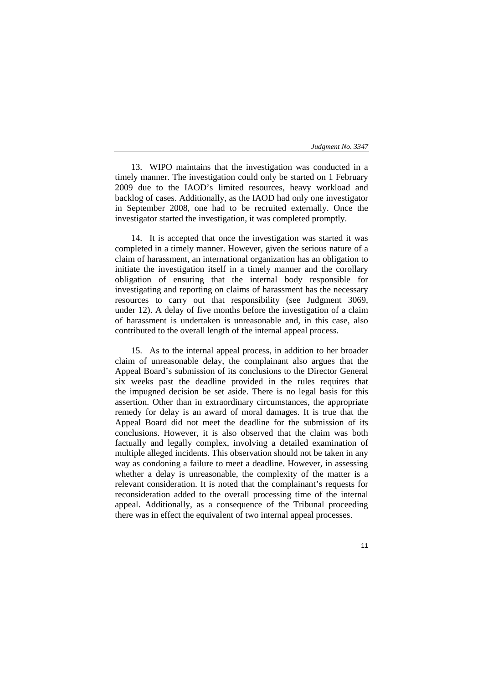13. WIPO maintains that the investigation was conducted in a timely manner. The investigation could only be started on 1 February 2009 due to the IAOD's limited resources, heavy workload and backlog of cases. Additionally, as the IAOD had only one investigator in September 2008, one had to be recruited externally. Once the investigator started the investigation, it was completed promptly.

14. It is accepted that once the investigation was started it was completed in a timely manner. However, given the serious nature of a claim of harassment, an international organization has an obligation to initiate the investigation itself in a timely manner and the corollary obligation of ensuring that the internal body responsible for investigating and reporting on claims of harassment has the necessary resources to carry out that responsibility (see Judgment 3069, under 12). A delay of five months before the investigation of a claim of harassment is undertaken is unreasonable and, in this case, also contributed to the overall length of the internal appeal process.

15. As to the internal appeal process, in addition to her broader claim of unreasonable delay, the complainant also argues that the Appeal Board's submission of its conclusions to the Director General six weeks past the deadline provided in the rules requires that the impugned decision be set aside. There is no legal basis for this assertion. Other than in extraordinary circumstances, the appropriate remedy for delay is an award of moral damages. It is true that the Appeal Board did not meet the deadline for the submission of its conclusions. However, it is also observed that the claim was both factually and legally complex, involving a detailed examination of multiple alleged incidents. This observation should not be taken in any way as condoning a failure to meet a deadline. However, in assessing whether a delay is unreasonable, the complexity of the matter is a relevant consideration. It is noted that the complainant's requests for reconsideration added to the overall processing time of the internal appeal. Additionally, as a consequence of the Tribunal proceeding there was in effect the equivalent of two internal appeal processes.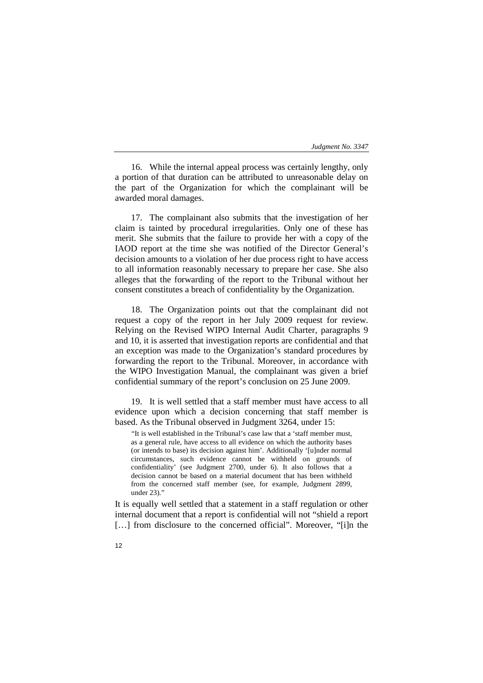16. While the internal appeal process was certainly lengthy, only a portion of that duration can be attributed to unreasonable delay on the part of the Organization for which the complainant will be awarded moral damages.

17. The complainant also submits that the investigation of her claim is tainted by procedural irregularities. Only one of these has merit. She submits that the failure to provide her with a copy of the IAOD report at the time she was notified of the Director General's decision amounts to a violation of her due process right to have access to all information reasonably necessary to prepare her case. She also alleges that the forwarding of the report to the Tribunal without her consent constitutes a breach of confidentiality by the Organization.

18. The Organization points out that the complainant did not request a copy of the report in her July 2009 request for review. Relying on the Revised WIPO Internal Audit Charter, paragraphs 9 and 10, it is asserted that investigation reports are confidential and that an exception was made to the Organization's standard procedures by forwarding the report to the Tribunal. Moreover, in accordance with the WIPO Investigation Manual, the complainant was given a brief confidential summary of the report's conclusion on 25 June 2009.

19. It is well settled that a staff member must have access to all evidence upon which a decision concerning that staff member is based. As the Tribunal observed in Judgment 3264, under 15:

"It is well established in the Tribunal's case law that a 'staff member must, as a general rule, have access to all evidence on which the authority bases (or intends to base) its decision against him'. Additionally '[u]nder normal circumstances, such evidence cannot be withheld on grounds of confidentiality' (see Judgment 2700, under 6). It also follows that a decision cannot be based on a material document that has been withheld from the concerned staff member (see, for example, Judgment 2899, under 23)."

It is equally well settled that a statement in a staff regulation or other internal document that a report is confidential will not "shield a report [...] from disclosure to the concerned official". Moreover, "[i]n the

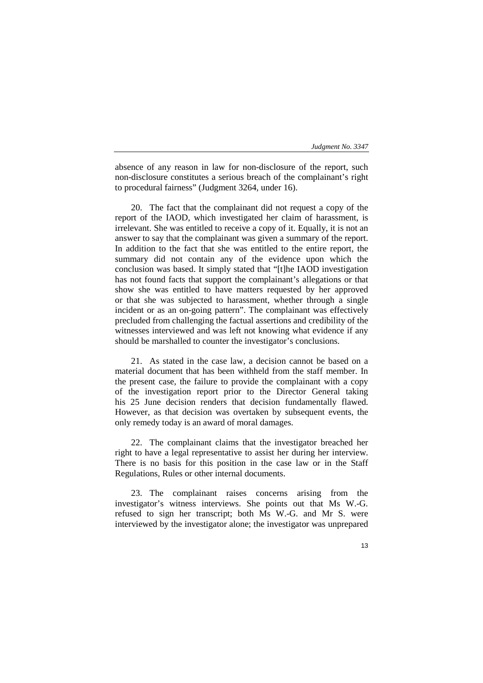absence of any reason in law for non-disclosure of the report, such non-disclosure constitutes a serious breach of the complainant's right to procedural fairness" (Judgment 3264, under 16).

20. The fact that the complainant did not request a copy of the report of the IAOD, which investigated her claim of harassment, is irrelevant. She was entitled to receive a copy of it. Equally, it is not an answer to say that the complainant was given a summary of the report. In addition to the fact that she was entitled to the entire report, the summary did not contain any of the evidence upon which the conclusion was based. It simply stated that "[t]he IAOD investigation has not found facts that support the complainant's allegations or that show she was entitled to have matters requested by her approved or that she was subjected to harassment, whether through a single incident or as an on-going pattern". The complainant was effectively precluded from challenging the factual assertions and credibility of the witnesses interviewed and was left not knowing what evidence if any should be marshalled to counter the investigator's conclusions.

21. As stated in the case law, a decision cannot be based on a material document that has been withheld from the staff member. In the present case, the failure to provide the complainant with a copy of the investigation report prior to the Director General taking his 25 June decision renders that decision fundamentally flawed. However, as that decision was overtaken by subsequent events, the only remedy today is an award of moral damages.

22. The complainant claims that the investigator breached her right to have a legal representative to assist her during her interview. There is no basis for this position in the case law or in the Staff Regulations, Rules or other internal documents.

23. The complainant raises concerns arising from the investigator's witness interviews. She points out that Ms W.-G. refused to sign her transcript; both Ms W.-G. and Mr S. were interviewed by the investigator alone; the investigator was unprepared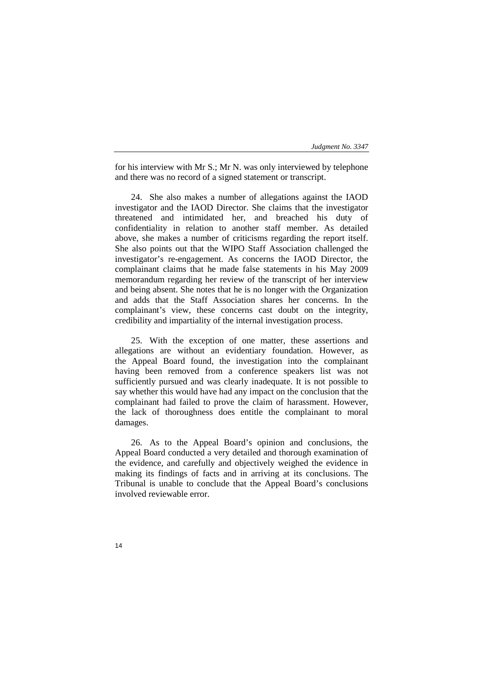for his interview with Mr S.; Mr N. was only interviewed by telephone and there was no record of a signed statement or transcript.

24. She also makes a number of allegations against the IAOD investigator and the IAOD Director. She claims that the investigator threatened and intimidated her, and breached his duty of confidentiality in relation to another staff member. As detailed above, she makes a number of criticisms regarding the report itself. She also points out that the WIPO Staff Association challenged the investigator's re-engagement. As concerns the IAOD Director, the complainant claims that he made false statements in his May 2009 memorandum regarding her review of the transcript of her interview and being absent. She notes that he is no longer with the Organization and adds that the Staff Association shares her concerns. In the complainant's view, these concerns cast doubt on the integrity, credibility and impartiality of the internal investigation process.

25. With the exception of one matter, these assertions and allegations are without an evidentiary foundation. However, as the Appeal Board found, the investigation into the complainant having been removed from a conference speakers list was not sufficiently pursued and was clearly inadequate. It is not possible to say whether this would have had any impact on the conclusion that the complainant had failed to prove the claim of harassment. However, the lack of thoroughness does entitle the complainant to moral damages.

26. As to the Appeal Board's opinion and conclusions, the Appeal Board conducted a very detailed and thorough examination of the evidence, and carefully and objectively weighed the evidence in making its findings of facts and in arriving at its conclusions. The Tribunal is unable to conclude that the Appeal Board's conclusions involved reviewable error.